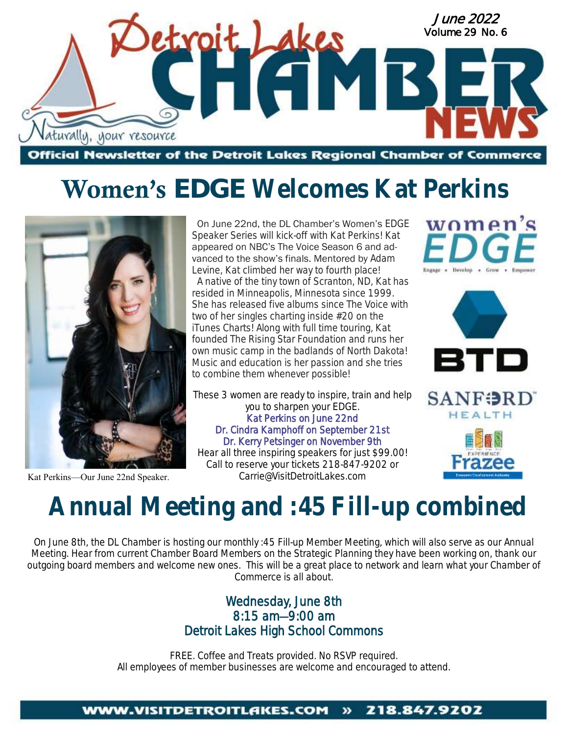

## **Women's** *EDGE* **Welcomes Kat Perkins**



Kat Perkins—Our June 22nd Speaker.

 On June 22nd, the DL Chamber's Women's *EDGE*  Speaker Series will kick-off with Kat Perkins! Kat appeared on NBC's The Voice Season 6 and advanced to the show's finals. Mentored by Adam Levine, Kat climbed her way to fourth place!

 A native of the tiny town of Scranton, ND, Kat has resided in Minneapolis, Minnesota since 1999. She has released five albums since The Voice with two of her singles charting inside #20 on the iTunes Charts! Along with full time touring, Kat founded The Rising Star Foundation and runs her own music camp in the badlands of North Dakota! Music and education is her passion and she tries to combine them whenever possible!

These 3 women are ready to inspire, train and help you to sharpen your *EDGE*. Kat Perkins on June 22nd Dr. Cindra Kamphoff on September 21st Dr. Kerry Petsinger on November 9th Hear all three inspiring speakers for just \$99.00!

Call to reserve your tickets 218-847-9202 or Carrie@VisitDetroitLakes.com







# **Annual Meeting and :45 Fill-up combined**

On June 8th, the DL Chamber is hosting our monthly :45 Fill-up Member Meeting, which will also serve as our Annual Meeting. Hear from current Chamber Board Members on the Strategic Planning they have been working on, thank our outgoing board members and welcome new ones. This will be a great place to network and learn what your Chamber of Commerce is all about.

### Wednesday, June 8th 8:15 am—9:00 am Detroit Lakes High School Commons

FREE. Coffee and Treats provided. No RSVP required. All employees of member businesses are welcome and encouraged to attend.

#### 218.847.9202 **WWW.VISITDETROITLAKES.COM**  $\boldsymbol{v}$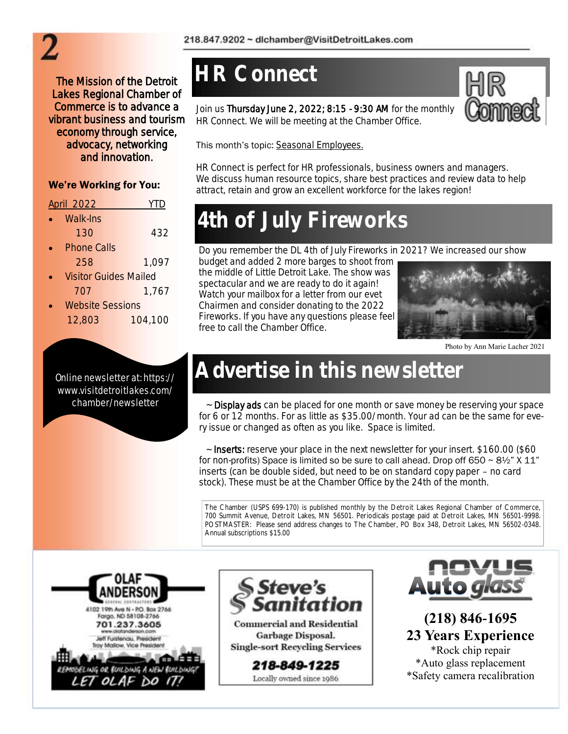The Mission of the Detroit Lakes Regional Chamber of Commerce is to advance a vibrant business and tourism economy through service, advocacy, networking and innovation.

### We're Working for You:

| April 2022                   | $\vert \vert$ ) |
|------------------------------|-----------------|
| Walk-Ins<br>$\bullet$        |                 |
| 130                          | 432             |
| Phone Calls                  |                 |
| 258                          | 1,097           |
| <i>Vicitor</i> Cuidec Mailed |                 |

- Visitor Guides Mailed 707 1,767
- Website Sessions 12,803 104,100

Online newsletter at: https:// www.visitdetroitlakes.com/ chamber/newsletter

### **HR Connect**

Join us Thursday June 2, 2022; 8:15 - 9:30 AM for the monthly HR Connect. We will be meeting at the Chamber Office.



This month's topic: Seasonal Employees.

HR Connect is perfect for HR professionals, business owners and managers. We discuss human resource topics, share best practices and review data to help attract, retain and grow an excellent workforce for the lakes region!

## **4th of July Fireworks**

Do you remember the DL 4th of July Fireworks in 2021? We increased our show

budget and added 2 more barges to shoot from the middle of Little Detroit Lake. The show was spectacular and we are ready to do it again! Watch your mailbox for a letter from our evet Chairmen and consider donating to the 2022 Fireworks. If you have any questions please feel free to call the Chamber Office.



Photo by Ann Marie Lacher 2021

## **Advertise in this newsletter**

~ Display ads can be placed for one month or save money be reserving your space for 6 or 12 months. For as little as \$35.00/month. Your ad can be the same for every issue or changed as often as you like. Space is limited.

~ Inserts: reserve your place in the next newsletter for your insert. \$160.00 (\$60 for non-profits) Space is limited so be sure to call ahead. Drop off 650  $\sim$  8½" X 11" inserts (can be double sided, but need to be on standard copy paper – no card stock). These must be at the Chamber Office by the 24th of the month.

The Chamber (USPS 699-170) is published monthly by the Detroit Lakes Regional Chamber of Commerce, 700 Summit Avenue, Detroit Lakes, MN 56501. Periodicals postage paid at Detroit Lakes, MN 56501-9998. POSTMASTER: Please send address changes to The Chamber, PO Box 348, Detroit Lakes, MN 56502-0348. Annual subscriptions \$15.00





**Commercial and Residential** Garbage Disposal. **Single-sort Recycling Services** 

> 218-849-1225 Locally owned since 1986



**(218) 846-1695 23 Years Experience** \*Rock chip repair \*Auto glass replacement \*Safety camera recalibration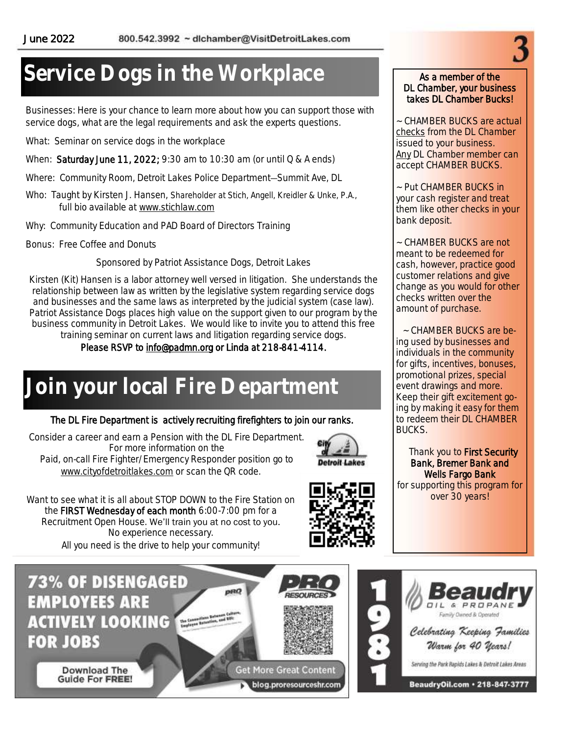### **Service Dogs in the Workplace**

Businesses: Here is your chance to learn more about how you can support those with service dogs, what are the legal requirements and ask the experts questions.

What: Seminar on service dogs in the workplace

When: Saturday June 11, 2022; 9:30 am to 10:30 am (or until Q & A ends)

Where: Community Room, Detroit Lakes Police Department—Summit Ave, DL

Who: Taught by Kirsten J. Hansen, Shareholder at Stich, Angell, Kreidler & Unke, P.A., full bio available at [www.stichlaw.com](http://www.stichlaw.com)

Why: Community Education and PAD Board of Directors Training

Bonus: Free Coffee and Donuts

Sponsored by Patriot Assistance Dogs, Detroit Lakes

Kirsten (Kit) Hansen is a labor attorney well versed in litigation. She understands the relationship between law as written by the legislative system regarding service dogs and businesses and the same laws as interpreted by the judicial system (case law). Patriot Assistance Dogs places high value on the support given to our program by the business community in Detroit Lakes. We would like to invite you to attend this free training seminar on current laws and litigation regarding service dogs.

Please RSVP to [info@padmn.org](mailto:info@padmn.org) or Linda at 218-841-4114.

### **Join your local Fire Department**

#### The DL Fire Department is actively recruiting firefighters to join our ranks.

Consider a career and earn a Pension with the DL Fire Department. For more information on the Paid, on-call Fire Fighter/Emergency Responder position go to [www.cityofdetroitlakes.com](http://www.cityofdetroitlakes.com) or scan the QR code.



Want to see what it is all about STOP DOWN to the Fire Station on the FIRST Wednesday of each month 6:00-7:00 pm for a Recruitment Open House. We'll train you at no cost to you. No experience necessary. All you need is the drive to help your community!

**73% OF DISENGAGED EMPLOYEES ARE ACTIVELY LOOKING FOR JOBS** 

> Download The **Guide For FREE!**





#### As a member of the DL Chamber, your business takes DL Chamber Bucks!

~ CHAMBER BUCKS are actual checks from the DL Chamber issued to your business. Any DL Chamber member can accept CHAMBER BUCKS.

~ Put CHAMBER BUCKS in your cash register and treat them like other checks in your bank deposit.

~ CHAMBER BUCKS are not meant to be redeemed for cash, however, practice good customer relations and give change as you would for other checks written over the amount of purchase.

~ CHAMBER BUCKS are being used by businesses and individuals in the community for gifts, incentives, bonuses, promotional prizes, special event drawings and more. Keep their gift excitement going by making it easy for them to redeem their DL CHAMBER BUCKS.

Thank you to **First Security** Bank, Bremer Bank and Wells Fargo Bank for supporting this program for over 30 years!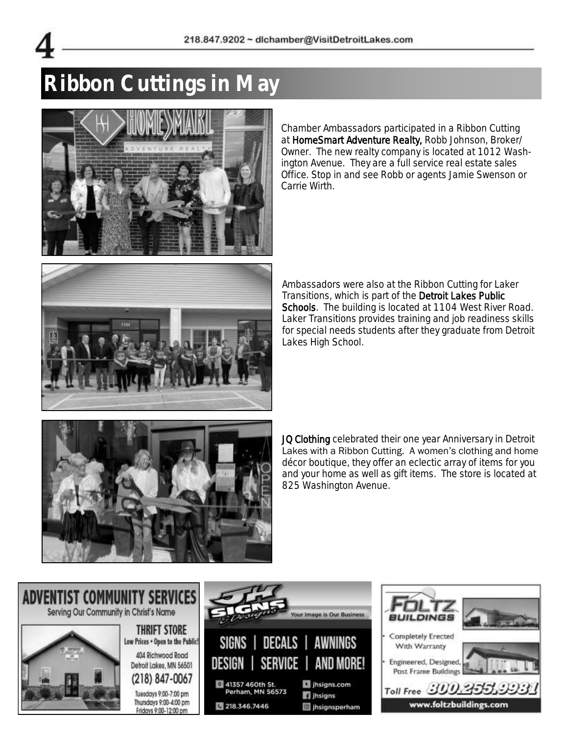

## **Ribbon Cuttings in May**



Chamber Ambassadors participated in a Ribbon Cutting at HomeSmart Adventure Realty, Robb Johnson, Broker/ Owner. The new realty company is located at 1012 Washington Avenue. They are a full service real estate sales Office. Stop in and see Robb or agents Jamie Swenson or Carrie Wirth.



Ambassadors were also at the Ribbon Cutting for Laker Transitions, which is part of the Detroit Lakes Public Schools. The building is located at 1104 West River Road. Laker Transitions provides training and job readiness skills for special needs students after they graduate from Detroit Lakes High School.



JQ Clothing celebrated their one year Anniversary in Detroit Lakes with a Ribbon Cutting. A women's clothing and home décor boutique, they offer an eclectic array of items for you and your home as well as gift items. The store is located at 825 Washington Avenue.

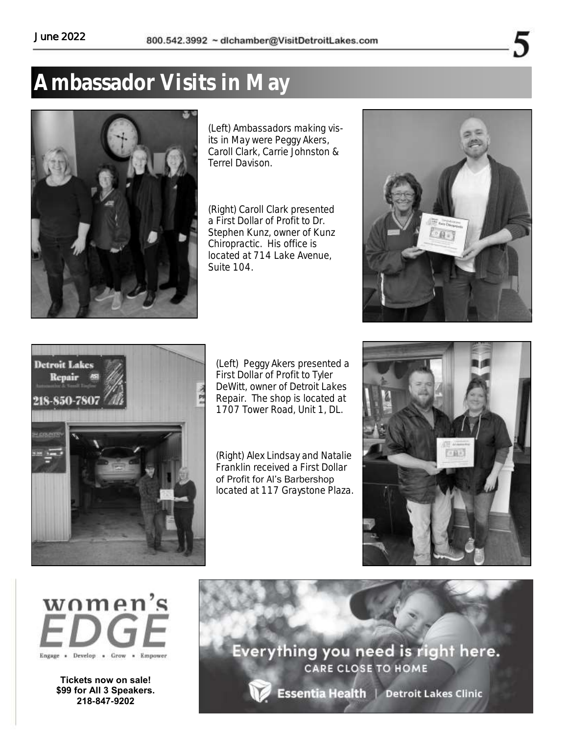### **Ambassador Visits in May**



(Left) Ambassadors making visits in May were Peggy Akers, Caroll Clark, Carrie Johnston & Terrel Davison.

(Right) Caroll Clark presented a First Dollar of Profit to Dr. Stephen Kunz, owner of Kunz Chiropractic. His office is located at 714 Lake Avenue, Suite 104.





(Left) Peggy Akers presented a First Dollar of Profit to Tyler DeWitt, owner of Detroit Lakes Repair. The shop is located at 1707 Tower Road, Unit 1, DL.

(Right) Alex Lindsay and Natalie Franklin received a First Dollar of Profit for Al's Barbershop located at 117 Graystone Plaza.





**Tickets now on sale! \$99 for All 3 Speakers. 218-847-9202**

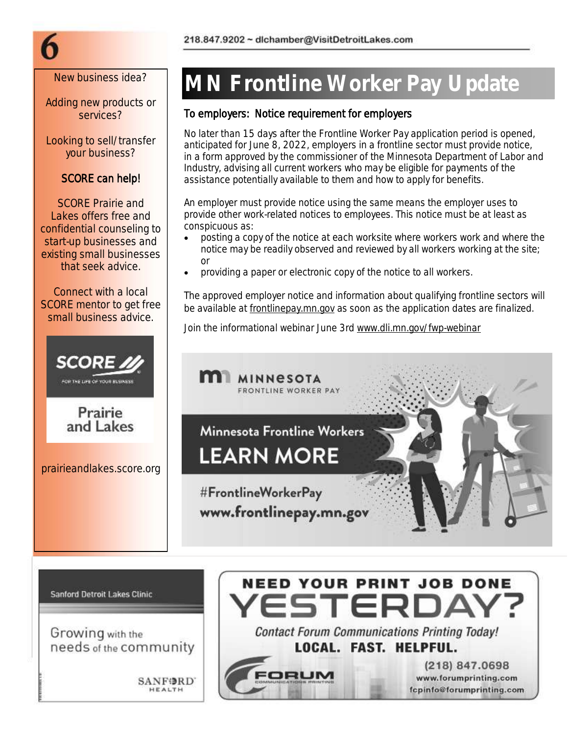Adding new products or services?

Looking to sell/transfer your business?

### SCORE can help!

SCORE Prairie and Lakes offers free and confidential counseling to start-up businesses and existing small businesses that seek advice.

Connect with a local SCORE mentor to get free small business advice.





prairieandlakes.score.org

## New business idea? | MN Frontline Worker Pay Update

### To employers: Notice requirement for employers

No later than 15 days after the Frontline Worker Pay application period is opened, anticipated for June 8, 2022, employers in a frontline sector must provide notice, in a form approved by the commissioner of the Minnesota Department of Labor and Industry, advising all current workers who may be eligible for payments of the assistance potentially available to them and how to apply for benefits.

An employer must provide notice using the same means the employer uses to provide other work-related notices to employees. This notice must be at least as conspicuous as:

- posting a copy of the notice at each worksite where workers work and where the notice may be readily observed and reviewed by all workers working at the site; or
- providing a paper or electronic copy of the notice to all workers.

The approved employer notice and information about qualifying frontline sectors will be available at [frontlinepay.mn.gov](http://www.frontlinepay.mn.gov) as soon as the application dates are finalized.

Join the informational webinar June 3rd www.dli.mn.gov/fwp-webinar



**Sanford Detroit Lakes Clinic** 

Growing with the needs of the community

> **SANFORD** HEALTH



ORUM

 $(218) 847.0698$ 

www.forumprinting.com

fcpinfo@forumprinting.com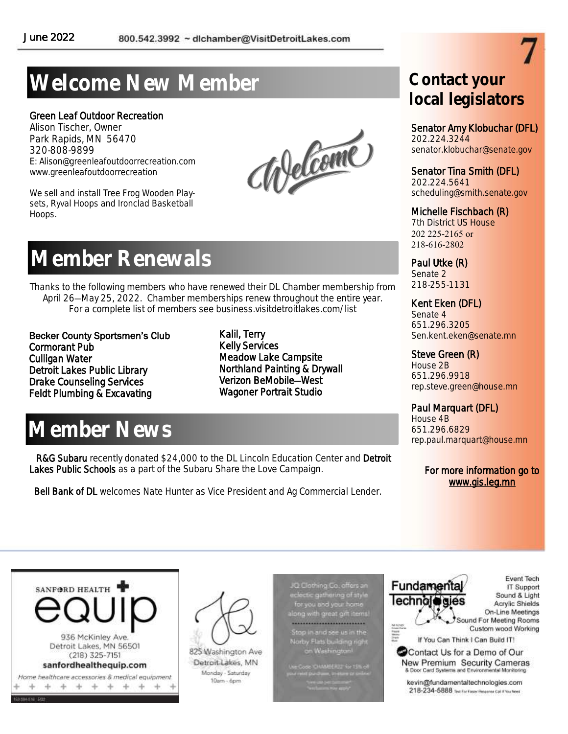## **Welcome New Member**

#### Green Leaf Outdoor Recreation

Alison Tischer, Owner Park Rapids, MN 56470 320-808-9899 E: Alison@greenleafoutdoorrecreation.com www.greenleafoutdoorrecreation

We sell and install Tree Frog Wooden Playsets, Ryval Hoops and Ironclad Basketball Hoops.

Melcome

### **Member Renewals**

Thanks to the following members who have renewed their DL Chamber membership from April 26—May 25, 2022. Chamber memberships renew throughout the entire year. For a complete list of members see business.visitdetroitlakes.com/list

Becker County Sportsmen's Club Cormorant Pub Culligan Water Detroit Lakes Public Library Drake Counseling Services Feldt Plumbing & Excavating

Kalil, Terry Kelly Services Meadow Lake Campsite Northland Painting & Drywall Verizon BeMobile—West Wagoner Portrait Studio

### **Member News**

R&G Subaru recently donated \$24,000 to the DL Lincoln Education Center and Detroit Lakes Public Schools as a part of the Subaru Share the Love Campaign.

Bell Bank of DL welcomes Nate Hunter as Vice President and Ag Commercial Lender.

### **Contact your local legislators**

#### Senator Amy Klobuchar (DFL)

202.224.3244 senator.klobuchar@senate.gov

### Senator Tina Smith (DFL)

202.224.5641 scheduling@smith.senate.gov

#### Michelle Fischbach (R)

7th District US House 202 225-2165 or 218-616-2802

Paul Utke (R) Senate 2 218-255-1131

#### Kent Eken (DFL)

Senate 4 651.296.3205 Sen.kent.eken@senate.mn

### Steve Green (R)

House 2B 651.296.9918 rep.steve.green@house.mn

### Paul Marquart (DFL)

House 4B 651.296.6829 rep.paul.marquart@house.mn

#### For more information go to www.gis.leg.mn





825 Washington Ave Detroit Lakes, MN Monday - Saturday 10am - 6pm

JQ Clothing Co. offers an Q Clothing Co. offers an<br>clectic gathering of style<br>for you and your home<br>ong with great gift items! -----------------------------Stop in and see us in the ərby Flats building right on Washington

Code CHAMBERLY for U.S. of **MONUMENT** *<u>Side Contractor Contractor</u>*